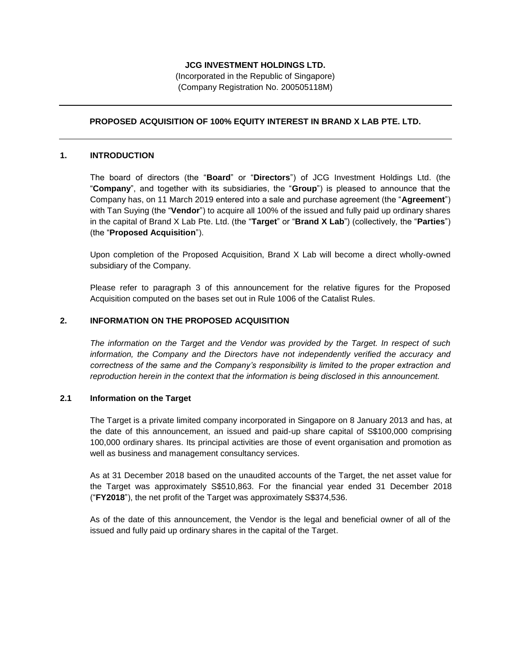## **JCG INVESTMENT HOLDINGS LTD.**

(Incorporated in the Republic of Singapore) (Company Registration No. 200505118M)

## **PROPOSED ACQUISITION OF 100% EQUITY INTEREST IN BRAND X LAB PTE. LTD.**

#### **1. INTRODUCTION**

The board of directors (the "**Board**" or "**Directors**") of JCG Investment Holdings Ltd. (the "**Company**", and together with its subsidiaries, the "**Group**") is pleased to announce that the Company has, on 11 March 2019 entered into a sale and purchase agreement (the "**Agreement**") with Tan Suying (the "**Vendor**") to acquire all 100% of the issued and fully paid up ordinary shares in the capital of Brand X Lab Pte. Ltd. (the "**Target**" or "**Brand X Lab**") (collectively, the "**Parties**") (the "**Proposed Acquisition**").

Upon completion of the Proposed Acquisition, Brand X Lab will become a direct wholly-owned subsidiary of the Company.

Please refer to paragraph 3 of this announcement for the relative figures for the Proposed Acquisition computed on the bases set out in Rule 1006 of the Catalist Rules.

#### **2. INFORMATION ON THE PROPOSED ACQUISITION**

*The information on the Target and the Vendor was provided by the Target. In respect of such information, the Company and the Directors have not independently verified the accuracy and correctness of the same and the Company's responsibility is limited to the proper extraction and reproduction herein in the context that the information is being disclosed in this announcement.*

#### **2.1 Information on the Target**

The Target is a private limited company incorporated in Singapore on 8 January 2013 and has, at the date of this announcement, an issued and paid-up share capital of S\$100,000 comprising 100,000 ordinary shares. Its principal activities are those of event organisation and promotion as well as business and management consultancy services.

As at 31 December 2018 based on the unaudited accounts of the Target, the net asset value for the Target was approximately S\$510,863. For the financial year ended 31 December 2018 ("**FY2018**"), the net profit of the Target was approximately S\$374,536.

As of the date of this announcement, the Vendor is the legal and beneficial owner of all of the issued and fully paid up ordinary shares in the capital of the Target.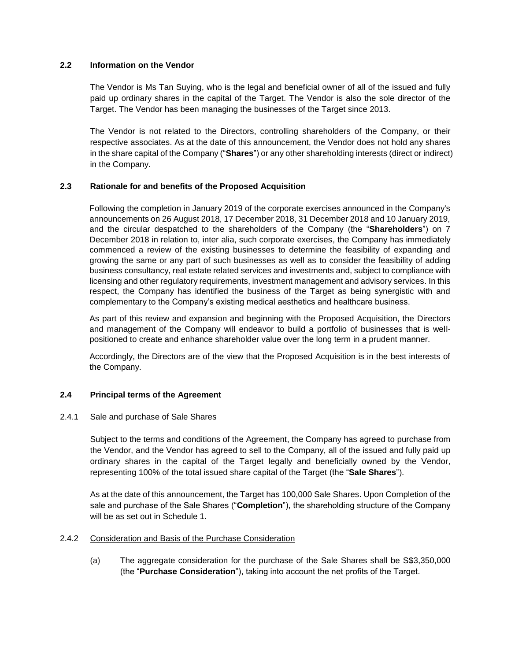## **2.2 Information on the Vendor**

The Vendor is Ms Tan Suying, who is the legal and beneficial owner of all of the issued and fully paid up ordinary shares in the capital of the Target. The Vendor is also the sole director of the Target. The Vendor has been managing the businesses of the Target since 2013.

The Vendor is not related to the Directors, controlling shareholders of the Company, or their respective associates. As at the date of this announcement, the Vendor does not hold any shares in the share capital of the Company ("**Shares**") or any other shareholding interests (direct or indirect) in the Company.

## **2.3 Rationale for and benefits of the Proposed Acquisition**

Following the completion in January 2019 of the corporate exercises announced in the Company's announcements on 26 August 2018, 17 December 2018, 31 December 2018 and 10 January 2019, and the circular despatched to the shareholders of the Company (the "**Shareholders**") on 7 December 2018 in relation to, inter alia, such corporate exercises, the Company has immediately commenced a review of the existing businesses to determine the feasibility of expanding and growing the same or any part of such businesses as well as to consider the feasibility of adding business consultancy, real estate related services and investments and, subject to compliance with licensing and other regulatory requirements, investment management and advisory services. In this respect, the Company has identified the business of the Target as being synergistic with and complementary to the Company's existing medical aesthetics and healthcare business.

As part of this review and expansion and beginning with the Proposed Acquisition, the Directors and management of the Company will endeavor to build a portfolio of businesses that is wellpositioned to create and enhance shareholder value over the long term in a prudent manner.

Accordingly, the Directors are of the view that the Proposed Acquisition is in the best interests of the Company.

## **2.4 Principal terms of the Agreement**

#### 2.4.1 Sale and purchase of Sale Shares

Subject to the terms and conditions of the Agreement, the Company has agreed to purchase from the Vendor, and the Vendor has agreed to sell to the Company, all of the issued and fully paid up ordinary shares in the capital of the Target legally and beneficially owned by the Vendor, representing 100% of the total issued share capital of the Target (the "**Sale Shares**").

As at the date of this announcement, the Target has 100,000 Sale Shares. Upon Completion of the sale and purchase of the Sale Shares ("**Completion**"), the shareholding structure of the Company will be as set out in Schedule 1.

#### 2.4.2 Consideration and Basis of the Purchase Consideration

(a) The aggregate consideration for the purchase of the Sale Shares shall be S\$3,350,000 (the "**Purchase Consideration**"), taking into account the net profits of the Target.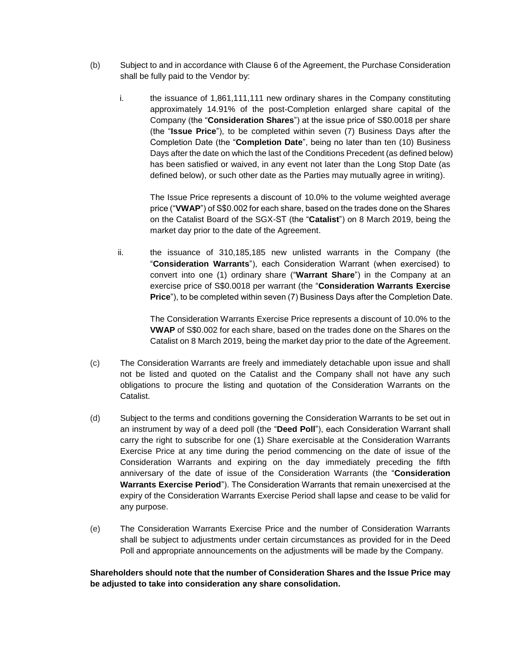- (b) Subject to and in accordance with Clause 6 of the Agreement, the Purchase Consideration shall be fully paid to the Vendor by:
	- i. the issuance of 1,861,111,111 new ordinary shares in the Company constituting approximately 14.91% of the post-Completion enlarged share capital of the Company (the "**Consideration Shares**") at the issue price of S\$0.0018 per share (the "**Issue Price**"), to be completed within seven (7) Business Days after the Completion Date (the "**Completion Date**", being no later than ten (10) Business Days after the date on which the last of the Conditions Precedent (as defined below) has been satisfied or waived, in any event not later than the Long Stop Date (as defined below), or such other date as the Parties may mutually agree in writing).

The Issue Price represents a discount of 10.0% to the volume weighted average price ("**VWAP**") of S\$0.002 for each share, based on the trades done on the Shares on the Catalist Board of the SGX-ST (the "**Catalist**") on 8 March 2019, being the market day prior to the date of the Agreement.

ii. the issuance of 310,185,185 new unlisted warrants in the Company (the "**Consideration Warrants**"), each Consideration Warrant (when exercised) to convert into one (1) ordinary share ("**Warrant Share**") in the Company at an exercise price of S\$0.0018 per warrant (the "**Consideration Warrants Exercise Price**"), to be completed within seven (7) Business Days after the Completion Date.

The Consideration Warrants Exercise Price represents a discount of 10.0% to the **VWAP** of S\$0.002 for each share, based on the trades done on the Shares on the Catalist on 8 March 2019, being the market day prior to the date of the Agreement.

- (c) The Consideration Warrants are freely and immediately detachable upon issue and shall not be listed and quoted on the Catalist and the Company shall not have any such obligations to procure the listing and quotation of the Consideration Warrants on the Catalist.
- (d) Subject to the terms and conditions governing the Consideration Warrants to be set out in an instrument by way of a deed poll (the "**Deed Poll**"), each Consideration Warrant shall carry the right to subscribe for one (1) Share exercisable at the Consideration Warrants Exercise Price at any time during the period commencing on the date of issue of the Consideration Warrants and expiring on the day immediately preceding the fifth anniversary of the date of issue of the Consideration Warrants (the "**Consideration Warrants Exercise Period**"). The Consideration Warrants that remain unexercised at the expiry of the Consideration Warrants Exercise Period shall lapse and cease to be valid for any purpose.
- (e) The Consideration Warrants Exercise Price and the number of Consideration Warrants shall be subject to adjustments under certain circumstances as provided for in the Deed Poll and appropriate announcements on the adjustments will be made by the Company.

**Shareholders should note that the number of Consideration Shares and the Issue Price may be adjusted to take into consideration any share consolidation.**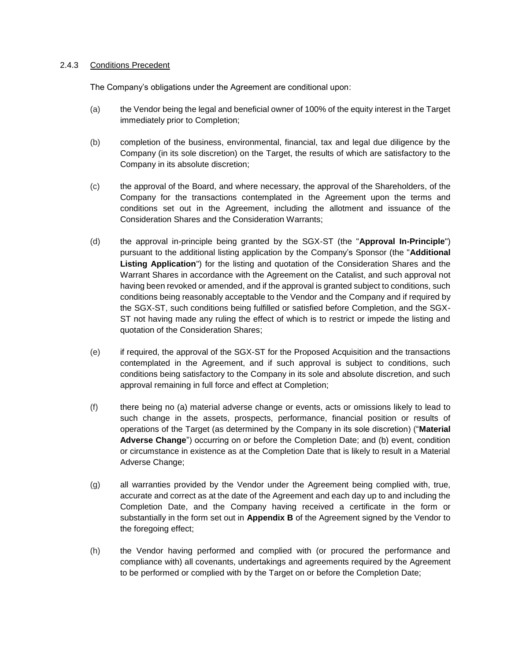## 2.4.3 Conditions Precedent

The Company's obligations under the Agreement are conditional upon:

- (a) the Vendor being the legal and beneficial owner of 100% of the equity interest in the Target immediately prior to Completion;
- (b) completion of the business, environmental, financial, tax and legal due diligence by the Company (in its sole discretion) on the Target, the results of which are satisfactory to the Company in its absolute discretion;
- (c) the approval of the Board, and where necessary, the approval of the Shareholders, of the Company for the transactions contemplated in the Agreement upon the terms and conditions set out in the Agreement, including the allotment and issuance of the Consideration Shares and the Consideration Warrants;
- (d) the approval in-principle being granted by the SGX-ST (the "**Approval In-Principle**") pursuant to the additional listing application by the Company's Sponsor (the "**Additional Listing Application**") for the listing and quotation of the Consideration Shares and the Warrant Shares in accordance with the Agreement on the Catalist, and such approval not having been revoked or amended, and if the approval is granted subject to conditions, such conditions being reasonably acceptable to the Vendor and the Company and if required by the SGX-ST, such conditions being fulfilled or satisfied before Completion, and the SGX-ST not having made any ruling the effect of which is to restrict or impede the listing and quotation of the Consideration Shares;
- (e) if required, the approval of the SGX-ST for the Proposed Acquisition and the transactions contemplated in the Agreement, and if such approval is subject to conditions, such conditions being satisfactory to the Company in its sole and absolute discretion, and such approval remaining in full force and effect at Completion;
- (f) there being no (a) material adverse change or events, acts or omissions likely to lead to such change in the assets, prospects, performance, financial position or results of operations of the Target (as determined by the Company in its sole discretion) ("**Material Adverse Change**") occurring on or before the Completion Date; and (b) event, condition or circumstance in existence as at the Completion Date that is likely to result in a Material Adverse Change;
- (g) all warranties provided by the Vendor under the Agreement being complied with, true, accurate and correct as at the date of the Agreement and each day up to and including the Completion Date, and the Company having received a certificate in the form or substantially in the form set out in **Appendix B** of the Agreement signed by the Vendor to the foregoing effect;
- (h) the Vendor having performed and complied with (or procured the performance and compliance with) all covenants, undertakings and agreements required by the Agreement to be performed or complied with by the Target on or before the Completion Date;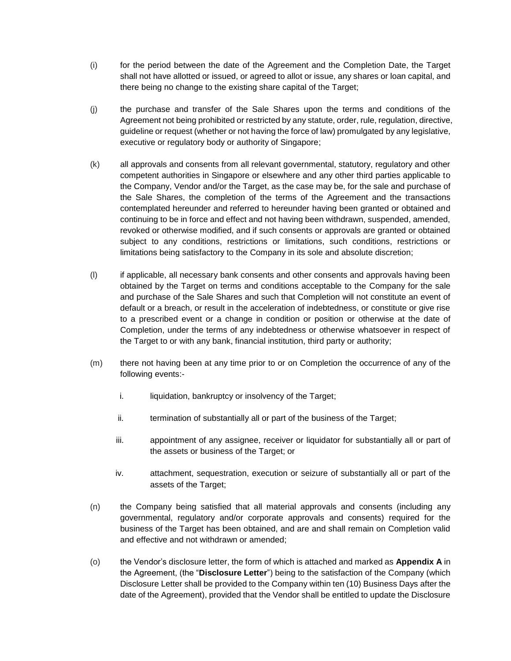- (i) for the period between the date of the Agreement and the Completion Date, the Target shall not have allotted or issued, or agreed to allot or issue, any shares or loan capital, and there being no change to the existing share capital of the Target;
- (j) the purchase and transfer of the Sale Shares upon the terms and conditions of the Agreement not being prohibited or restricted by any statute, order, rule, regulation, directive, guideline or request (whether or not having the force of law) promulgated by any legislative, executive or regulatory body or authority of Singapore;
- (k) all approvals and consents from all relevant governmental, statutory, regulatory and other competent authorities in Singapore or elsewhere and any other third parties applicable to the Company, Vendor and/or the Target, as the case may be, for the sale and purchase of the Sale Shares, the completion of the terms of the Agreement and the transactions contemplated hereunder and referred to hereunder having been granted or obtained and continuing to be in force and effect and not having been withdrawn, suspended, amended, revoked or otherwise modified, and if such consents or approvals are granted or obtained subject to any conditions, restrictions or limitations, such conditions, restrictions or limitations being satisfactory to the Company in its sole and absolute discretion;
- (l) if applicable, all necessary bank consents and other consents and approvals having been obtained by the Target on terms and conditions acceptable to the Company for the sale and purchase of the Sale Shares and such that Completion will not constitute an event of default or a breach, or result in the acceleration of indebtedness, or constitute or give rise to a prescribed event or a change in condition or position or otherwise at the date of Completion, under the terms of any indebtedness or otherwise whatsoever in respect of the Target to or with any bank, financial institution, third party or authority;
- (m) there not having been at any time prior to or on Completion the occurrence of any of the following events:
	- i. liquidation, bankruptcy or insolvency of the Target;
	- ii. termination of substantially all or part of the business of the Target;
	- iii. appointment of any assignee, receiver or liquidator for substantially all or part of the assets or business of the Target; or
	- iv. attachment, sequestration, execution or seizure of substantially all or part of the assets of the Target;
- (n) the Company being satisfied that all material approvals and consents (including any governmental, regulatory and/or corporate approvals and consents) required for the business of the Target has been obtained, and are and shall remain on Completion valid and effective and not withdrawn or amended;
- (o) the Vendor's disclosure letter, the form of which is attached and marked as **Appendix A** in the Agreement, (the "**Disclosure Letter**") being to the satisfaction of the Company (which Disclosure Letter shall be provided to the Company within ten (10) Business Days after the date of the Agreement), provided that the Vendor shall be entitled to update the Disclosure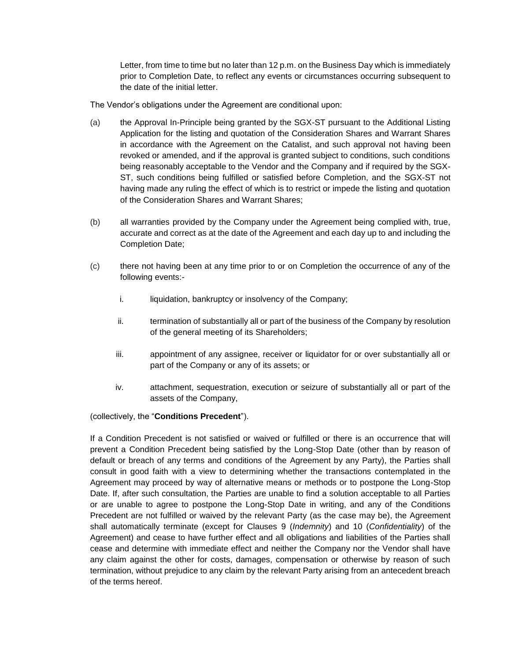Letter, from time to time but no later than 12 p.m. on the Business Day which is immediately prior to Completion Date, to reflect any events or circumstances occurring subsequent to the date of the initial letter.

The Vendor's obligations under the Agreement are conditional upon:

- (a) the Approval In-Principle being granted by the SGX-ST pursuant to the Additional Listing Application for the listing and quotation of the Consideration Shares and Warrant Shares in accordance with the Agreement on the Catalist, and such approval not having been revoked or amended, and if the approval is granted subject to conditions, such conditions being reasonably acceptable to the Vendor and the Company and if required by the SGX-ST, such conditions being fulfilled or satisfied before Completion, and the SGX-ST not having made any ruling the effect of which is to restrict or impede the listing and quotation of the Consideration Shares and Warrant Shares;
- (b) all warranties provided by the Company under the Agreement being complied with, true, accurate and correct as at the date of the Agreement and each day up to and including the Completion Date;
- (c) there not having been at any time prior to or on Completion the occurrence of any of the following events:
	- i. liquidation, bankruptcy or insolvency of the Company;
	- ii. termination of substantially all or part of the business of the Company by resolution of the general meeting of its Shareholders;
	- iii. appointment of any assignee, receiver or liquidator for or over substantially all or part of the Company or any of its assets; or
	- iv. attachment, sequestration, execution or seizure of substantially all or part of the assets of the Company,

(collectively, the "**Conditions Precedent**").

If a Condition Precedent is not satisfied or waived or fulfilled or there is an occurrence that will prevent a Condition Precedent being satisfied by the Long-Stop Date (other than by reason of default or breach of any terms and conditions of the Agreement by any Party), the Parties shall consult in good faith with a view to determining whether the transactions contemplated in the Agreement may proceed by way of alternative means or methods or to postpone the Long-Stop Date. If, after such consultation, the Parties are unable to find a solution acceptable to all Parties or are unable to agree to postpone the Long-Stop Date in writing, and any of the Conditions Precedent are not fulfilled or waived by the relevant Party (as the case may be), the Agreement shall automatically terminate (except for Clauses 9 (*Indemnity*) and 10 (*Confidentiality*) of the Agreement) and cease to have further effect and all obligations and liabilities of the Parties shall cease and determine with immediate effect and neither the Company nor the Vendor shall have any claim against the other for costs, damages, compensation or otherwise by reason of such termination, without prejudice to any claim by the relevant Party arising from an antecedent breach of the terms hereof.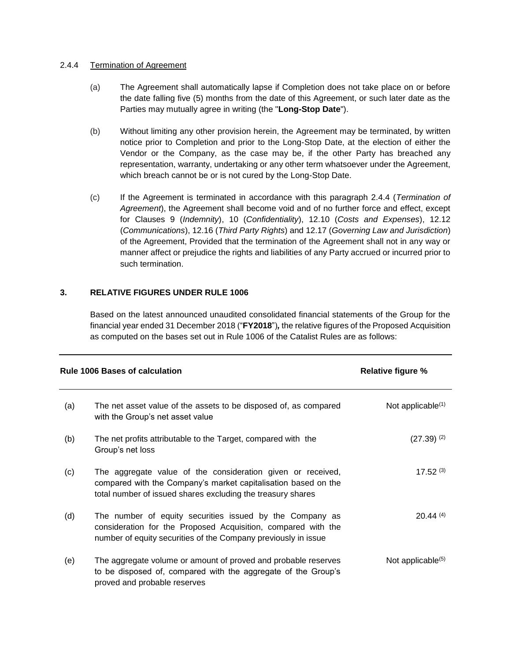## 2.4.4 Termination of Agreement

- (a) The Agreement shall automatically lapse if Completion does not take place on or before the date falling five (5) months from the date of this Agreement, or such later date as the Parties may mutually agree in writing (the "**Long-Stop Date**").
- (b) Without limiting any other provision herein, the Agreement may be terminated, by written notice prior to Completion and prior to the Long-Stop Date, at the election of either the Vendor or the Company, as the case may be, if the other Party has breached any representation, warranty, undertaking or any other term whatsoever under the Agreement, which breach cannot be or is not cured by the Long-Stop Date.
- (c) If the Agreement is terminated in accordance with this paragraph 2.4.4 (*Termination of Agreement*), the Agreement shall become void and of no further force and effect, except for Clauses 9 (*Indemnity*), 10 (*Confidentiality*), 12.10 (*Costs and Expenses*), 12.12 (*Communications*), 12.16 (*Third Party Rights*) and 12.17 (*Governing Law and Jurisdiction*) of the Agreement, Provided that the termination of the Agreement shall not in any way or manner affect or prejudice the rights and liabilities of any Party accrued or incurred prior to such termination.

## **3. RELATIVE FIGURES UNDER RULE 1006**

Based on the latest announced unaudited consolidated financial statements of the Group for the financial year ended 31 December 2018 ("**FY2018**")*,* the relative figures of the Proposed Acquisition as computed on the bases set out in Rule 1006 of the Catalist Rules are as follows:

|     | <b>Rule 1006 Bases of calculation</b>                                                                                                                                                        | <b>Relative figure %</b> |
|-----|----------------------------------------------------------------------------------------------------------------------------------------------------------------------------------------------|--------------------------|
| (a) | The net asset value of the assets to be disposed of, as compared<br>with the Group's net asset value                                                                                         | Not applicable $(1)$     |
| (b) | The net profits attributable to the Target, compared with the<br>Group's net loss                                                                                                            | $(27.39)^{(2)}$          |
| (c) | The aggregate value of the consideration given or received,<br>compared with the Company's market capitalisation based on the<br>total number of issued shares excluding the treasury shares | $17.52^{(3)}$            |
| (d) | The number of equity securities issued by the Company as<br>consideration for the Proposed Acquisition, compared with the<br>number of equity securities of the Company previously in issue  | 20.44(4)                 |
| (e) | The aggregate volume or amount of proved and probable reserves<br>to be disposed of, compared with the aggregate of the Group's<br>proved and probable reserves                              | Not applicable $(5)$     |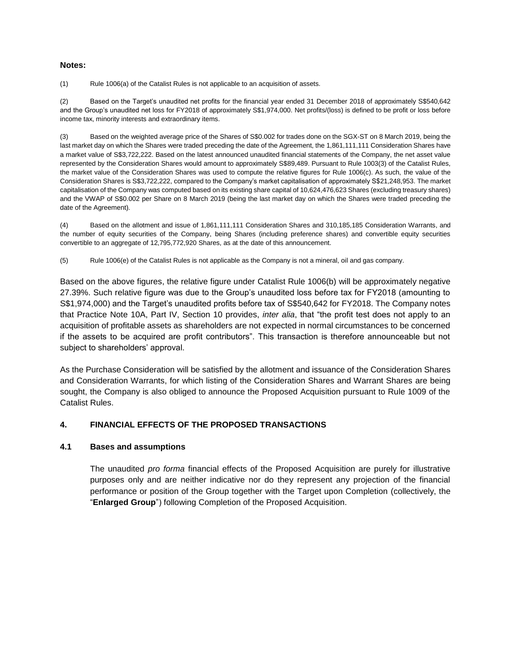#### **Notes:**

(1) Rule 1006(a) of the Catalist Rules is not applicable to an acquisition of assets.

(2) Based on the Target's unaudited net profits for the financial year ended 31 December 2018 of approximately S\$540,642 and the Group's unaudited net loss for FY2018 of approximately S\$1,974,000. Net profits/(loss) is defined to be profit or loss before income tax, minority interests and extraordinary items.

(3) Based on the weighted average price of the Shares of S\$0.002 for trades done on the SGX-ST on 8 March 2019, being the last market day on which the Shares were traded preceding the date of the Agreement, the 1,861,111,111 Consideration Shares have a market value of S\$3,722,222. Based on the latest announced unaudited financial statements of the Company, the net asset value represented by the Consideration Shares would amount to approximately S\$89,489. Pursuant to Rule 1003(3) of the Catalist Rules, the market value of the Consideration Shares was used to compute the relative figures for Rule 1006(c). As such, the value of the Consideration Shares is S\$3,722,222, compared to the Company's market capitalisation of approximately S\$21,248,953. The market capitalisation of the Company was computed based on its existing share capital of 10,624,476,623 Shares (excluding treasury shares) and the VWAP of S\$0.002 per Share on 8 March 2019 (being the last market day on which the Shares were traded preceding the date of the Agreement).

(4) Based on the allotment and issue of 1,861,111,111 Consideration Shares and 310,185,185 Consideration Warrants, and the number of equity securities of the Company, being Shares (including preference shares) and convertible equity securities convertible to an aggregate of 12,795,772,920 Shares, as at the date of this announcement.

(5) Rule 1006(e) of the Catalist Rules is not applicable as the Company is not a mineral, oil and gas company.

Based on the above figures, the relative figure under Catalist Rule 1006(b) will be approximately negative 27.39%. Such relative figure was due to the Group's unaudited loss before tax for FY2018 (amounting to S\$1,974,000) and the Target's unaudited profits before tax of S\$540,642 for FY2018. The Company notes that Practice Note 10A, Part IV, Section 10 provides, *inter alia*, that "the profit test does not apply to an acquisition of profitable assets as shareholders are not expected in normal circumstances to be concerned if the assets to be acquired are profit contributors". This transaction is therefore announceable but not subject to shareholders' approval.

As the Purchase Consideration will be satisfied by the allotment and issuance of the Consideration Shares and Consideration Warrants, for which listing of the Consideration Shares and Warrant Shares are being sought, the Company is also obliged to announce the Proposed Acquisition pursuant to Rule 1009 of the Catalist Rules.

## **4. FINANCIAL EFFECTS OF THE PROPOSED TRANSACTIONS**

#### **4.1 Bases and assumptions**

The unaudited *pro forma* financial effects of the Proposed Acquisition are purely for illustrative purposes only and are neither indicative nor do they represent any projection of the financial performance or position of the Group together with the Target upon Completion (collectively, the "**Enlarged Group**") following Completion of the Proposed Acquisition.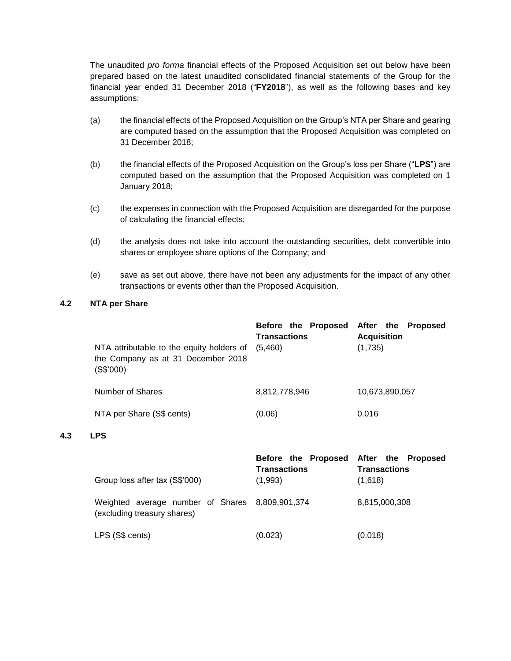The unaudited *pro forma* financial effects of the Proposed Acquisition set out below have been prepared based on the latest unaudited consolidated financial statements of the Group for the financial year ended 31 December 2018 ("**FY2018**"), as well as the following bases and key assumptions:

- (a) the financial effects of the Proposed Acquisition on the Group's NTA per Share and gearing are computed based on the assumption that the Proposed Acquisition was completed on 31 December 2018;
- (b) the financial effects of the Proposed Acquisition on the Group's loss per Share ("**LPS**") are computed based on the assumption that the Proposed Acquisition was completed on 1 January 2018;
- (c) the expenses in connection with the Proposed Acquisition are disregarded for the purpose of calculating the financial effects;
- (d) the analysis does not take into account the outstanding securities, debt convertible into shares or employee share options of the Company; and
- (e) save as set out above, there have not been any adjustments for the impact of any other transactions or events other than the Proposed Acquisition.

## **4.2 NTA per Share**

| NTA attributable to the equity holders of<br>the Company as at 31 December 2018<br>(S\$'000) | Before the Proposed<br><b>Transactions</b><br>(5,460) | After the Proposed<br><b>Acquisition</b><br>(1,735) |
|----------------------------------------------------------------------------------------------|-------------------------------------------------------|-----------------------------------------------------|
| Number of Shares                                                                             | 8,812,778,946                                         | 10,673,890,057                                      |
| NTA per Share (S\$ cents)                                                                    | (0.06)                                                | 0.016                                               |
|                                                                                              |                                                       |                                                     |

#### **4.3 LPS**

|                                                                                | Before the Proposed After the Proposed<br><b>Transactions</b> | <b>Transactions</b> |
|--------------------------------------------------------------------------------|---------------------------------------------------------------|---------------------|
| Group loss after tax (S\$'000)                                                 | (1,993)                                                       | (1,618)             |
| Weighted average number of Shares 8,809,901,374<br>(excluding treasury shares) |                                                               | 8,815,000,308       |
| LPS (S\$ cents)                                                                | (0.023)                                                       | (0.018)             |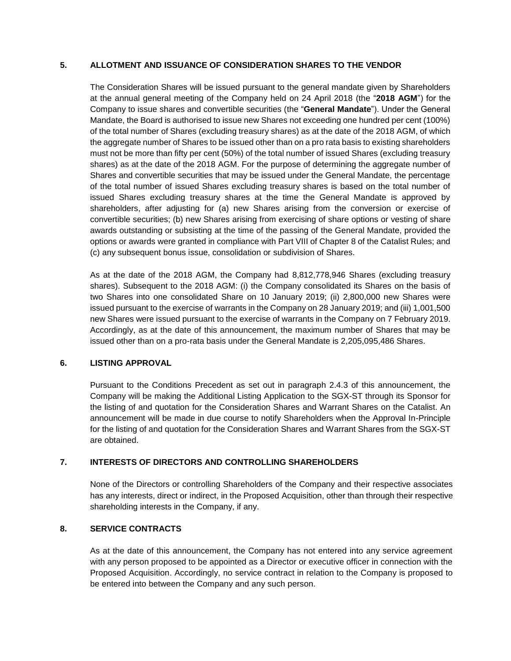## **5. ALLOTMENT AND ISSUANCE OF CONSIDERATION SHARES TO THE VENDOR**

The Consideration Shares will be issued pursuant to the general mandate given by Shareholders at the annual general meeting of the Company held on 24 April 2018 (the "**2018 AGM**") for the Company to issue shares and convertible securities (the "**General Mandate**"). Under the General Mandate, the Board is authorised to issue new Shares not exceeding one hundred per cent (100%) of the total number of Shares (excluding treasury shares) as at the date of the 2018 AGM, of which the aggregate number of Shares to be issued other than on a pro rata basis to existing shareholders must not be more than fifty per cent (50%) of the total number of issued Shares (excluding treasury shares) as at the date of the 2018 AGM. For the purpose of determining the aggregate number of Shares and convertible securities that may be issued under the General Mandate, the percentage of the total number of issued Shares excluding treasury shares is based on the total number of issued Shares excluding treasury shares at the time the General Mandate is approved by shareholders, after adjusting for (a) new Shares arising from the conversion or exercise of convertible securities; (b) new Shares arising from exercising of share options or vesting of share awards outstanding or subsisting at the time of the passing of the General Mandate, provided the options or awards were granted in compliance with Part VIII of Chapter 8 of the Catalist Rules; and (c) any subsequent bonus issue, consolidation or subdivision of Shares.

As at the date of the 2018 AGM, the Company had 8,812,778,946 Shares (excluding treasury shares). Subsequent to the 2018 AGM: (i) the Company consolidated its Shares on the basis of two Shares into one consolidated Share on 10 January 2019; (ii) 2,800,000 new Shares were issued pursuant to the exercise of warrants in the Company on 28 January 2019; and (iii) 1,001,500 new Shares were issued pursuant to the exercise of warrants in the Company on 7 February 2019. Accordingly, as at the date of this announcement, the maximum number of Shares that may be issued other than on a pro-rata basis under the General Mandate is 2,205,095,486 Shares.

## **6. LISTING APPROVAL**

Pursuant to the Conditions Precedent as set out in paragraph 2.4.3 of this announcement, the Company will be making the Additional Listing Application to the SGX-ST through its Sponsor for the listing of and quotation for the Consideration Shares and Warrant Shares on the Catalist. An announcement will be made in due course to notify Shareholders when the Approval In-Principle for the listing of and quotation for the Consideration Shares and Warrant Shares from the SGX-ST are obtained.

## **7. INTERESTS OF DIRECTORS AND CONTROLLING SHAREHOLDERS**

None of the Directors or controlling Shareholders of the Company and their respective associates has any interests, direct or indirect, in the Proposed Acquisition, other than through their respective shareholding interests in the Company, if any.

## **8. SERVICE CONTRACTS**

As at the date of this announcement, the Company has not entered into any service agreement with any person proposed to be appointed as a Director or executive officer in connection with the Proposed Acquisition. Accordingly, no service contract in relation to the Company is proposed to be entered into between the Company and any such person.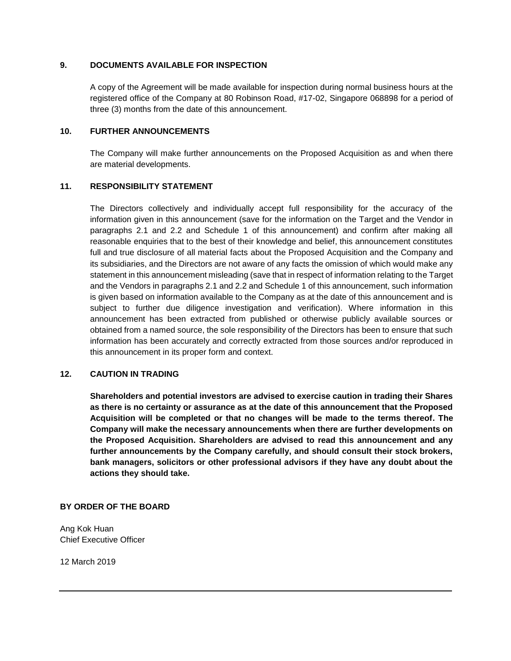## **9. DOCUMENTS AVAILABLE FOR INSPECTION**

A copy of the Agreement will be made available for inspection during normal business hours at the registered office of the Company at 80 Robinson Road, #17-02, Singapore 068898 for a period of three (3) months from the date of this announcement.

## **10. FURTHER ANNOUNCEMENTS**

The Company will make further announcements on the Proposed Acquisition as and when there are material developments.

## **11. RESPONSIBILITY STATEMENT**

The Directors collectively and individually accept full responsibility for the accuracy of the information given in this announcement (save for the information on the Target and the Vendor in paragraphs 2.1 and 2.2 and Schedule 1 of this announcement) and confirm after making all reasonable enquiries that to the best of their knowledge and belief, this announcement constitutes full and true disclosure of all material facts about the Proposed Acquisition and the Company and its subsidiaries, and the Directors are not aware of any facts the omission of which would make any statement in this announcement misleading (save that in respect of information relating to the Target and the Vendors in paragraphs 2.1 and 2.2 and Schedule 1 of this announcement, such information is given based on information available to the Company as at the date of this announcement and is subject to further due diligence investigation and verification). Where information in this announcement has been extracted from published or otherwise publicly available sources or obtained from a named source, the sole responsibility of the Directors has been to ensure that such information has been accurately and correctly extracted from those sources and/or reproduced in this announcement in its proper form and context.

#### **12. CAUTION IN TRADING**

**Shareholders and potential investors are advised to exercise caution in trading their Shares as there is no certainty or assurance as at the date of this announcement that the Proposed Acquisition will be completed or that no changes will be made to the terms thereof. The Company will make the necessary announcements when there are further developments on the Proposed Acquisition. Shareholders are advised to read this announcement and any further announcements by the Company carefully, and should consult their stock brokers, bank managers, solicitors or other professional advisors if they have any doubt about the actions they should take.**

#### **BY ORDER OF THE BOARD**

Ang Kok Huan Chief Executive Officer

12 March 2019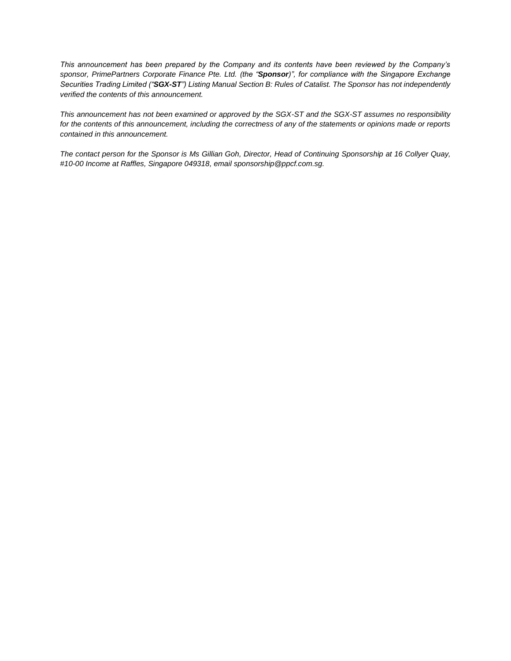*This announcement has been prepared by the Company and its contents have been reviewed by the Company's sponsor, PrimePartners Corporate Finance Pte. Ltd. (the "Sponsor)", for compliance with the Singapore Exchange Securities Trading Limited ("SGX-ST") Listing Manual Section B: Rules of Catalist. The Sponsor has not independently verified the contents of this announcement.*

*This announcement has not been examined or approved by the SGX-ST and the SGX-ST assumes no responsibility for the contents of this announcement, including the correctness of any of the statements or opinions made or reports contained in this announcement.*

*The contact person for the Sponsor is Ms Gillian Goh, Director, Head of Continuing Sponsorship at 16 Collyer Quay, #10-00 Income at Raffles, Singapore 049318, email sponsorship@ppcf.com.sg.*